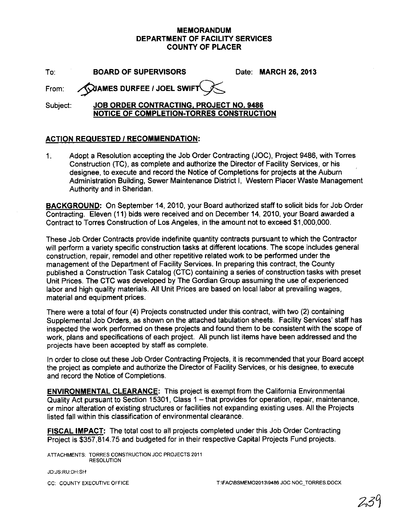#### **MEMORANDUM DEPARTMENT OF FACILITY SERVICES COUNTY OF PLACER**

| To: |  | <b>BOARD OF SUPERVISOR</b> |
|-----|--|----------------------------|
|     |  |                            |

To: **BOARD OF SUPERVISORS** Date: **MARCH 26, 2013**

From: **XXIAMES DURFEE / JOEL SWIF** 

#### Subject: **JOB ORDER CONTRACTING, PROJECT NO. 9486 NOTICE OF COMPLETION-TORRES CONSTRUCTION**

### **ACTION REQUESTED I RECOMMENDATION:**

1. Adopt a Resolution accepting the Job Order Contracting (JOC), Project 9486, with Torres Construction (TC), as complete and authorize the Director of Facility Services, or his designee, to execute and record the Notice of Completions for projects at the Auburn Administration Building, Sewer Maintenance District I, Western Placer Waste Management Authority and in Sheridan.

**BACKGROUND:** On September 14, 2010, your Board authorized staff to solicit bids for Job Order Contracting. Eleven (11) bids were received and on December 14, 2010, your Board awarded a Contract to Torres Construction of Los Angeles, in the amount not to exceed \$1,000,000.

These Job Order Contracts provide indefinite quantity contracts pursuant to which the Contractor will perform a variety specific construction tasks at different locations. The scope includes general construction, repair, remodel and other repetitive related work to be performed under the management of the Department of Facility Services. In preparing this contract, the County published a Construction Task Catalog (CTC) containing a series of construction tasks with preset Unit Prices. The CTC was developed by The Gordian Group assuming the use of experienced labor and high quality materials. All Unit Prices are based on local labor at prevailing wages, material and equipment prices.

There were a total of four (4) Projects constructed under this contract, with two (2) containing Supplemental Job Orders, as shown on the attached tabulation sheets. Facility Services' staff has inspected the work performed on these projects and found them to be consistent with the scope of work, plans and specifications of each project. All punch list items have been addressed and the projects have been accepted by staff as complete.

In order to close out these Job Order Contracting Projects, it is recommended that your Board accept the project as complete and authorize the Director of Facility Services, or his designee, to execute and record the Notice of Completions.

**ENVIRONMENTAL CLEARANCE:** This project is exempt from the California Environmental Quality Act pursuant to Section 15301, Class 1 – that provides for operation, repair, maintenance, or minor alteration of existing structures or facilities not expanding existing uses. All the Projects listed fall within this classification of environmental clearance.

**FISCAL IMPACT:** The total cost to all projects completed under this Job Order Contracting Project is \$357,814.75 and budgeted for in their respective Capital Projects Fund projects.

ATTACHMENTS: TORRES CONSTRUCTION JOC PROJECTS 2011 RESOLUTION

JD:JS:RU:DH:SH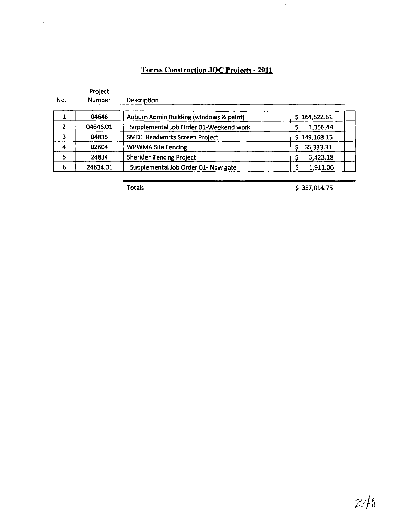### **Torres Construction JOC Projects - 2011**

|     | Project       |                                         |                  |
|-----|---------------|-----------------------------------------|------------------|
| No. | <b>Number</b> | Description                             |                  |
|     | 04646         | Auburn Admin Building (windows & paint) | 164,622.61       |
|     | 04646.01      | Supplemental Job Order 01-Weekend work  | 1,356.44         |
| 3   | 04835         | SMD1 Headworks Screen Project           | 149,168.15<br>Ŝ. |
| 4   | 02604         | <b>WPWMA Site Fencing</b>               | 35,333.31        |
| 5   | 24834         | <b>Sheriden Fencing Project</b>         | 5,423.18         |
| 6   | 24834.01      | Supplemental Job Order 01- New gate     | 1,911.06         |

 $\bar{\alpha}$ 

÷,

Totals \$ 357,814.75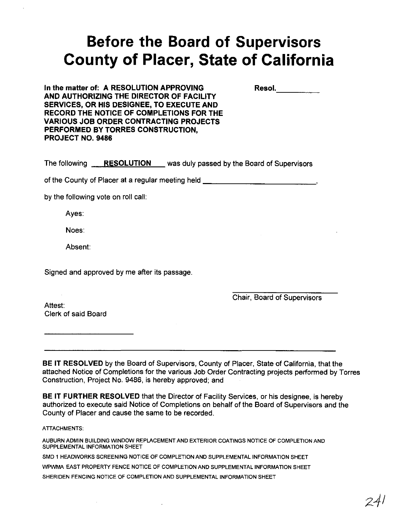# **Before the Board of Supervisors County of Placer, State of California**

**In the matter of: A RESOLUTION APPROVING AND AUTHORIZING THE DIRECTOR OF FACILITY SERVICES, OR HIS DESIGNEE, TO EXECUTE AND RECORD THE NOTICE OF COMPLETIONS FOR THE VARIOUS JOB ORDER CONTRACTING PROJECTS PERFORMED BY TORRES CONSTRUCTION, PROJECT NO. 9486**

 $\blacksquare$  Resol,

The following **RESOLUTION** was duly passed by the Board of Supervisors

of the County of Placer at a regular meeting held \_

by the following vote on roll call:

Ayes:

Noes:

Absent:

Signed and approved by me after its passage.

Chair, Board of Supervisors

Attest: Clerk of said Board

**BE IT RESOLVED** by the Board of Supervisors, County of Placer, State of California, that the attached Notice of Completions for the various Job Order Contracting projects performed by Torres Construction, Project No. 9486, is hereby approved; and

**BE IT FURTHER RESOLVED** that the Director of Facility Services, or his designee, is hereby authorized to execute said Notice of Completions on behalf of the Board of Supervisors and the County of Placer and cause the same to be recorded.

ATIACHMENTS:

AUBURN ADMIN BUILDING WINDOW REPLACEMENT AND EXTERIOR COATINGS NOTICE OF COMPLETION AND SUPPLEMENTAL INFORMATION SHEET

SMD 1 HEAOWORKS SCREENING NOTICE OF COMPLETION AND SUPPLEMENTAL INFORMATION SHEET WPWMA EAST PROPERTY FENCE NOTICE OF COMPLETION AND SUPPLEMENTAL INFORMATION SHEET SHERIDEN FENCING NOTICE OF COMPLETION AND SUPPLEMENTAL INFORMATION SHEET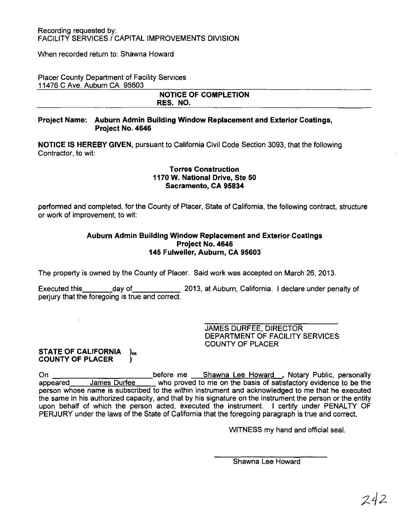When recorded return to: Shawna Howard

Placer County Department of Facility Services 11476 C Ave. Auburn CA 95603

#### NOTICE OF COMPLETION RES. NO.

#### Project Name: Auburn Admin Building Window Replacement and Exterior Coatings, Project No. 4646

NOTICE IS HEREBY GIVEN, pursuant to California Civil Code Section 3093, that the following Contractor, to wit:

#### Torres Construction 1170 W. National Drive, Ste 50 Sacramento, CA 95834

performed and completed, for the County of Placer, State of California, the following contract, structure or work of improvement, to wit:

#### Auburn Admin Building Window Replacement and Exterior Coatings Project No. 4646 145 Fulweiler, Auburn, CA 95603

The property is owned by the County of Placer. Said work was accepted on March 26, 2013.

Executed this day of 2013, at Auburn, California. I declare under penalty of perjury that the foregoing is true and correct.

> JAMES DURFEE, DIRECTOR DEPARTMENT OF FACILITY SERVICES COUNTY OF PLACER

## STATE OF CALIFORNIA )<sub>ss</sub><br>COUNTY OF PLACER

On **before me Shawna Lee Howard , Notary Public, personally** Cn appeared James Durfee who proved to me on the basis of satisfactory evidence to be the person whose name is subscribed to the within instrument and acknowledged to me that he executed the same in his authorized capacity, and that by his signature on the instrument the person or the entity upon behalf of which the person acted, executed the instrument. I certify under PENALTY OF PERJURY under the laws of the State of California that the foregoing paragraph is true and correct.

WITNESS my hand and official seal.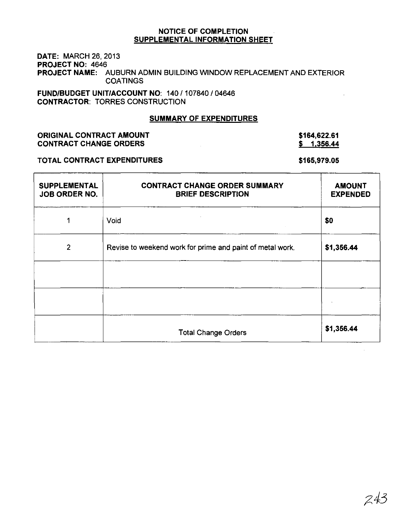#### DATE: MARCH 26, 2013 PROJECT NO: 4646 PROJECT NAME: AUBURN ADMIN BUILDING WINDOW REPLACEMENT AND EXTERIOR **COATINGS**

FUND/BUDGET UNIT/ACCOUNT NO: 140 / 107840 / 04646 CONTRACTOR: TORRES CONSTRUCTION

#### SUMMARY OF EXPENDITURES

#### ORIGINAL CONTRACT AMOUNT CONTRACT CHANGE ORDERS

#### \$164,622.61  $$ 1,356.44$

#### TOTAL CONTRACT EXPENDITURES

#### \$165,979.05

| SUPPLEMENTAL<br>JOB ORDER NO. | <b>CONTRACT CHANGE ORDER SUMMARY</b><br><b>BRIEF DESCRIPTION</b> | <b>AMOUNT</b><br><b>EXPENDED</b> |
|-------------------------------|------------------------------------------------------------------|----------------------------------|
| 1                             | Void                                                             | \$0                              |
| $\overline{2}$                | Revise to weekend work for prime and paint of metal work.        | \$1,356.44                       |
|                               |                                                                  |                                  |
|                               |                                                                  |                                  |
|                               | <b>Total Change Orders</b>                                       | \$1,356.44                       |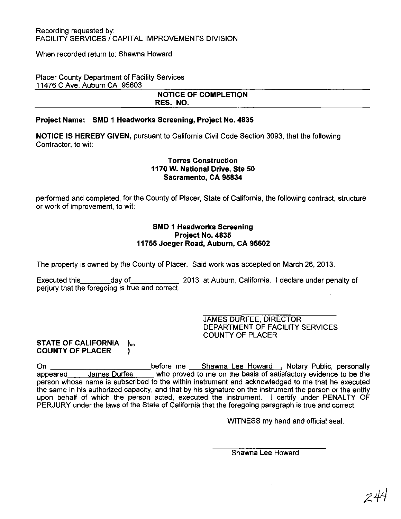#### Recording requested by: FACILITY SERVICES / CAPITAL IMPROVEMENTS DIVISION

When recorded return to: Shawna Howard

#### Placer County Department of Facility Services 11476 C Ave. Auburn CA 95603

#### NOTICE OF COMPLETION RES. NO.

#### Project Name: SMD 1 Headworks Screening, Project No. 4835

NOTICE IS HEREBY GIVEN, pursuant to California Civil Code Section 3093, that the following Contractor, to wit:

#### Torres Construction 1170 W. National Drive, Ste 50 Sacramento, CA 95834

performed and completed, for the County of Placer, State of California, the following contract, structure or work of improvement, to wit:

#### SMD 1 Headworks Screening Project No. 4835 11755 Joeger Road, Auburn, CA 95602

The property is owned by the County of Placer. Said work was accepted on March 26,2013.

Executed this day of 2013, at Auburn, California. I declare under penalty of perjury that the foregoing is true and correct.

> JAMES DURFEE, DIRECTOR DEPARTMENT OF FACILITY SERVICES COUNTY OF PLACER

#### STATE OF CALIFORNIA )ss COUNTY OF PLACER (1)

On before me Shawna Lee Howard ,Notary Public, personally appeared James Durfee who proved to me on the basis of satisfactory evidence to be the person whose name is subscribed to the within instrument and acknowledged to me that he executed the same in his authorized capacity, and that by his signature on the instrument the person or the entity upon behalf of which the person acted, executed the instrument. I certify under PENALTY OF PERJURY under the laws of the State of California that the foregoing paragraph is true and correct.

WITNESS my hand and official seal.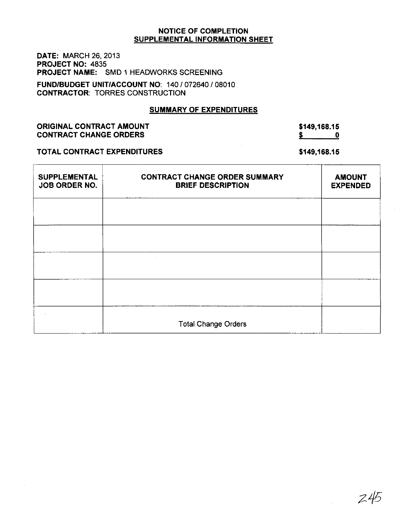DATE: MARCH 26, 2013 PROJECT NO: 4835 PROJECT NAME: SMD 1 HEADWORKS SCREENING

FUND/BUDGET UNIT/ACCOUNT NO: 140/072640/08010 CONTRACTOR: TORRES CONSTRUCTION

#### SUMMARY OF EXPENDITURES

ORIGINAL CONTRACT AMOUNT CONTRACT CHANGE ORDERS

\$149,168.15  $\frac{\text{S}}{\text{S}}$  0

#### TOTAL CONTRACT EXPENDITURES

\$149,168.15

| <b>SUPPLEMENTAL</b><br>JOB ORDER NO. | <b>CONTRACT CHANGE ORDER SUMMARY</b><br><b>BRIEF DESCRIPTION</b> | <b>AMOUNT</b><br><b>EXPENDED</b> |
|--------------------------------------|------------------------------------------------------------------|----------------------------------|
|                                      |                                                                  |                                  |
|                                      |                                                                  |                                  |
|                                      |                                                                  |                                  |
|                                      |                                                                  |                                  |
|                                      | <b>Total Change Orders</b>                                       |                                  |

 $245$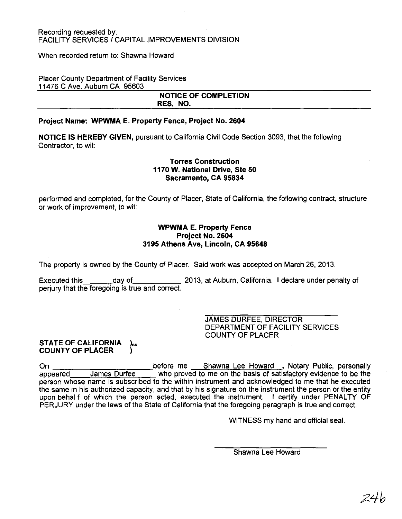#### Recording requested by: FACILITY SERVICES / CAPITAL IMPROVEMENTS DIVISION

When recorded return to: Shawna Howard

Placer County Department of Facility Services 11476 C Ave. Auburn CA 95603

#### **NOTICE OF COMPLETION RES. NO.**

#### **Project Name: WPWMA E. Property Fence, Project No. 2604**

**NOTICE IS HEREBY GIVEN,** pursuant to California Civil Code Section 3093, that the following Contractor, to wit:

#### **Torres Construction 1170 W. National Drive, Ste 50 Sacramento, CA 95834**

performed and completed, for the County of Placer, State of California, the following contract, structure or work of improvement, to wit:

#### **WPWMA E. Property Fence Project No. 2604 3195 Athens Ave, Lincoln, CA 95648**

The property is owned by the County of Placer. Said work was accepted on March 26,2013.

Executed this day of 2013, at Auburn, California. I declare under penalty of perjury that the foregoing is true and correct.

> JAMES DURFEE, DIRECTOR DEPARTMENT OF FACILITY SERVICES COUNTY OF PLACER

#### **STATE OF CALIFORNIA** )<sub>ss</sub> **COUNTY OF PLACER )**

On before me Shawna Lee Howard ,Notary Public, personally appeared James Durfee who proved to me on the basis of satisfactory evidence to be the person whose name is subscribed to the within instrument and acknowledged to me that he executed the same in his authorized capacity, and that by his signature on the instrument the person or the entity upon behal f of which the person acted, executed the instrument. I certify under PENALTY OF PERJURY under the laws of the State of California that the foregoing paragraph is true and correct.

WITNESS my hand and official seal.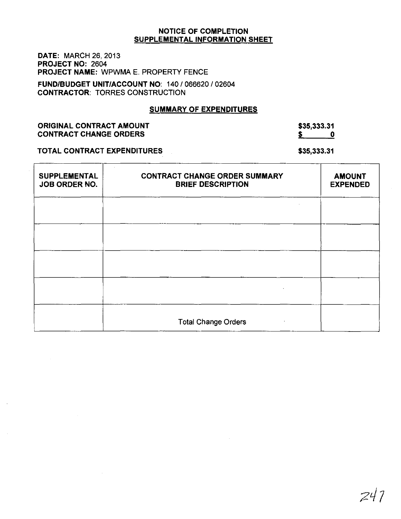DATE: MARCH 26, 2013 PROJECT NO: 2604 PROJECT NAME: WPWMA E. PROPERTY FENCE

FUND/BUDGET UNIT/ACCOUNT NO: 140 / 066620 / 02604 CONTRACTOR: TORRES CONSTRUCTION

#### SUMMARY OF EXPENDITURES

ORIGINAL CONTRACT AMOUNT CONTRACT CHANGE ORDERS

\$35,333.31  $\begin{array}{c} 5 \ \end{array}$  0

TOTAL CONTRACT EXPENDITURES

\$35,333.31

| <b>SUPPLEMENTAL</b><br>JOB ORDER NO. | <b>CONTRACT CHANGE ORDER SUMMARY</b><br><b>BRIEF DESCRIPTION</b> | <b>AMOUNT</b><br><b>EXPENDED</b> |
|--------------------------------------|------------------------------------------------------------------|----------------------------------|
|                                      |                                                                  |                                  |
|                                      |                                                                  |                                  |
|                                      |                                                                  |                                  |
|                                      |                                                                  |                                  |
|                                      | <b>Total Change Orders</b>                                       |                                  |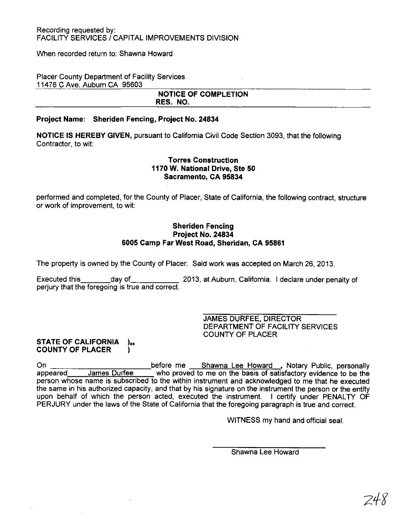When recorded return to: Shawna Howard

#### Placer County Department of Facility Services 11476 C Ave. Auburn CA 95603

#### NOTICE OF COMPLETION RES. NO.

#### Project Name: Sheriden Fencing, Project No. 24834

NOTICE IS HEREBY GIVEN, pursuant to California Civil Code Section 3093, that the following Contractor, to wit:

#### Torres Construction 1170 W. National Drive, Ste 50 Sacramento, CA 95834

performed and completed, for the County of Placer, State of California, the following contract, structure or work of improvement, to wit:

#### Sheriden Fencing Project No. 24834 6005 Camp Far West Road, Sheridan, CA 95861

The property is owned by the County of Placer. Said work was accepted on March 26,2013.

Executed this day of 2013, at Auburn, California. I declare under penalty of perjury that the foregoing is true and correct.

> JAMES DURFEE, DIRECTOR DEPARTMENT OF FACILITY SERVICES COUNTY OF PLACER

#### STATE OF CALIFORNIA )<sub>55</sub> COUNTY OF PLACER )

On **before me** Shawna Lee Howard , Notary Public, personally appeared James Durfee who proved to me on the basis of satisfactory evidence to be the appeared James Durfee who proved to me on the basis of satisfactory evidence to be the person whose name is subscribed to the within instrument and acknowledged to me that he executed the same in his authorized capacity, and that by his signature on the instrument the person or the entity upon behalf of which the person acted, executed the instrument. I certify under PENALTY OF PERJURY under the laws of the State of California that the foregoing paragraph is true and correct.

WITNESS my hand and official seal.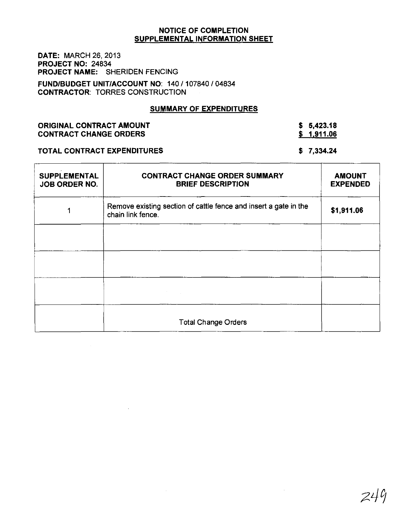DATE: MARCH 26, 2013 PROJECT NO: 24834 PROJECT NAME: SHERIDEN FENCING

FUND/BUDGET UNIT/ACCOUNT NO: 140/107840/04834 CONTRACTOR: TORRES CONSTRUCTION

#### SUMMARY OF EXPENDITURES

| <b>ORIGINAL CONTRACT AMOUNT</b> |  |
|---------------------------------|--|
| <b>CONTRACT CHANGE ORDERS</b>   |  |

\$ 5,423.18  $$ 1,911.06$ 

#### TOTAL CONTRACT EXPENDITURES

\$ 7,334.24

| <b>SUPPLEMENTAL</b><br><b>JOB ORDER NO.</b> | <b>CONTRACT CHANGE ORDER SUMMARY</b><br><b>BRIEF DESCRIPTION</b>                                                                   | <b>AMOUNT</b><br><b>EXPENDED</b> |
|---------------------------------------------|------------------------------------------------------------------------------------------------------------------------------------|----------------------------------|
|                                             | Remove existing section of cattle fence and insert a gate in the<br>chain link fence.                                              | \$1,911.06                       |
|                                             |                                                                                                                                    |                                  |
|                                             |                                                                                                                                    |                                  |
|                                             | $\mathcal{L}^{\mathcal{L}}(\mathcal{F})$ and $\mathcal{L}^{\mathcal{L}}(\mathcal{F})$ and $\mathcal{L}^{\mathcal{L}}(\mathcal{F})$ |                                  |
|                                             | <b>Total Change Orders</b>                                                                                                         |                                  |